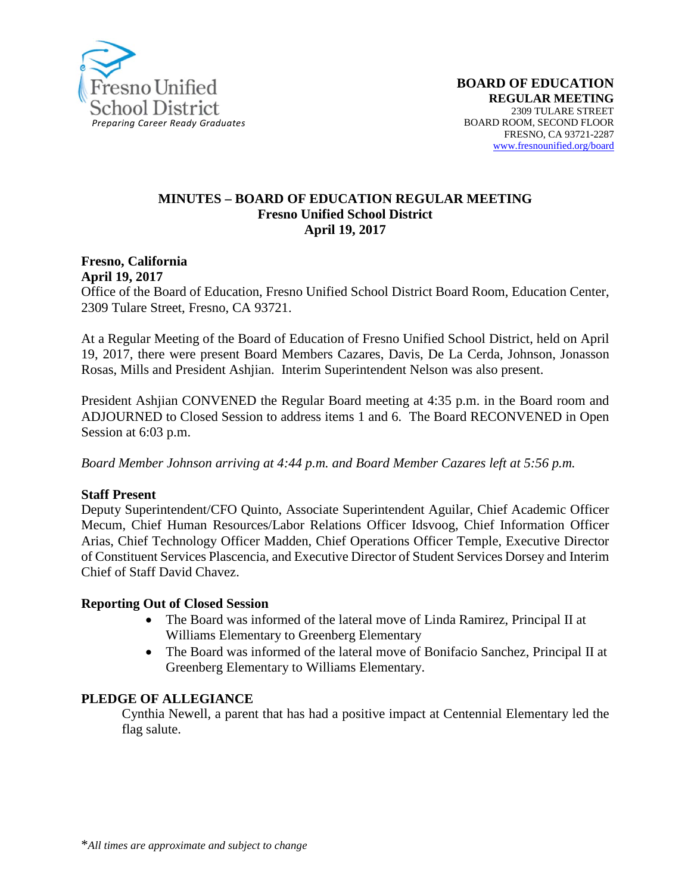

#### **MINUTES – BOARD OF EDUCATION REGULAR MEETING Fresno Unified School District April 19, 2017**

#### **Fresno, California April 19, 2017**

Office of the Board of Education, Fresno Unified School District Board Room, Education Center, 2309 Tulare Street, Fresno, CA 93721.

At a Regular Meeting of the Board of Education of Fresno Unified School District, held on April 19, 2017, there were present Board Members Cazares, Davis, De La Cerda, Johnson, Jonasson Rosas, Mills and President Ashjian. Interim Superintendent Nelson was also present.

President Ashjian CONVENED the Regular Board meeting at 4:35 p.m. in the Board room and ADJOURNED to Closed Session to address items 1 and 6. The Board RECONVENED in Open Session at 6:03 p.m.

*Board Member Johnson arriving at 4:44 p.m. and Board Member Cazares left at 5:56 p.m.*

#### **Staff Present**

Deputy Superintendent/CFO Quinto, Associate Superintendent Aguilar, Chief Academic Officer Mecum, Chief Human Resources/Labor Relations Officer Idsvoog, Chief Information Officer Arias, Chief Technology Officer Madden, Chief Operations Officer Temple, Executive Director of Constituent Services Plascencia, and Executive Director of Student Services Dorsey and Interim Chief of Staff David Chavez.

#### **Reporting Out of Closed Session**

- The Board was informed of the lateral move of Linda Ramirez, Principal II at Williams Elementary to Greenberg Elementary
- The Board was informed of the lateral move of Bonifacio Sanchez, Principal II at Greenberg Elementary to Williams Elementary.

#### **PLEDGE OF ALLEGIANCE**

Cynthia Newell, a parent that has had a positive impact at Centennial Elementary led the flag salute.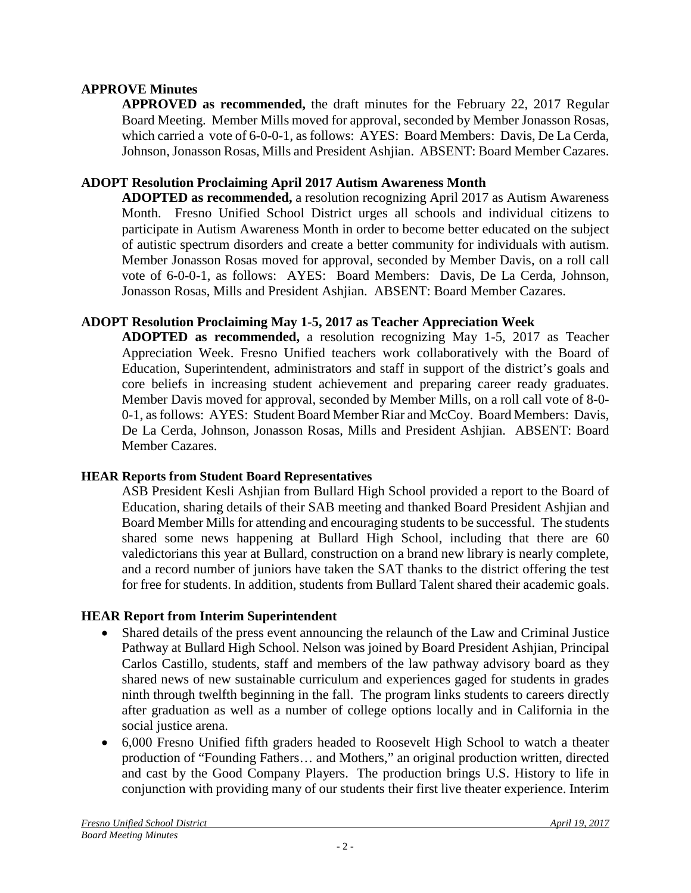#### **APPROVE Minutes**

**APPROVED as recommended,** the draft minutes for the February 22, 2017 Regular Board Meeting. Member Mills moved for approval, seconded by Member Jonasson Rosas, which carried a vote of 6-0-0-1, as follows: AYES: Board Members: Davis, De La Cerda, Johnson, Jonasson Rosas, Mills and President Ashjian. ABSENT: Board Member Cazares.

#### **ADOPT Resolution Proclaiming April 2017 Autism Awareness Month**

**ADOPTED as recommended,** a resolution recognizing April 2017 as Autism Awareness Month. Fresno Unified School District urges all schools and individual citizens to participate in Autism Awareness Month in order to become better educated on the subject of autistic spectrum disorders and create a better community for individuals with autism. Member Jonasson Rosas moved for approval, seconded by Member Davis, on a roll call vote of 6-0-0-1, as follows: AYES: Board Members: Davis, De La Cerda, Johnson, Jonasson Rosas, Mills and President Ashjian. ABSENT: Board Member Cazares.

## **ADOPT Resolution Proclaiming May 1-5, 2017 as Teacher Appreciation Week**

**ADOPTED as recommended,** a resolution recognizing May 1-5, 2017 as Teacher Appreciation Week. Fresno Unified teachers work collaboratively with the Board of Education, Superintendent, administrators and staff in support of the district's goals and core beliefs in increasing student achievement and preparing career ready graduates. Member Davis moved for approval, seconded by Member Mills, on a roll call vote of 8-0- 0-1, as follows: AYES: Student Board Member Riar and McCoy. Board Members: Davis, De La Cerda, Johnson, Jonasson Rosas, Mills and President Ashjian. ABSENT: Board Member Cazares.

#### **HEAR Reports from Student Board Representatives**

ASB President Kesli Ashjian from Bullard High School provided a report to the Board of Education, sharing details of their SAB meeting and thanked Board President Ashjian and Board Member Mills for attending and encouraging students to be successful. The students shared some news happening at Bullard High School, including that there are 60 valedictorians this year at Bullard, construction on a brand new library is nearly complete, and a record number of juniors have taken the SAT thanks to the district offering the test for free for students. In addition, students from Bullard Talent shared their academic goals.

## **HEAR Report from Interim Superintendent**

- Shared details of the [press event](https://vimeo.com/213925875) announcing the relaunch of the Law and Criminal Justice Pathway at Bullard High School. Nelson was joined by Board President Ashjian, Principal Carlos Castillo, students, staff and members of the law pathway advisory board as they shared news of new sustainable curriculum and experiences gaged for students in grades ninth through twelfth beginning in the fall. The program links students to careers directly after graduation as well as a number of college options locally and in California in the social justice arena.
- 6,000 Fresno Unified fifth graders headed to Roosevelt High School to watch a theater production of "Founding Fathers… and Mothers," an original production written, directed and cast by the Good Company Players. The production brings U.S. History to life in conjunction with providing many of our students their first live theater experience. Interim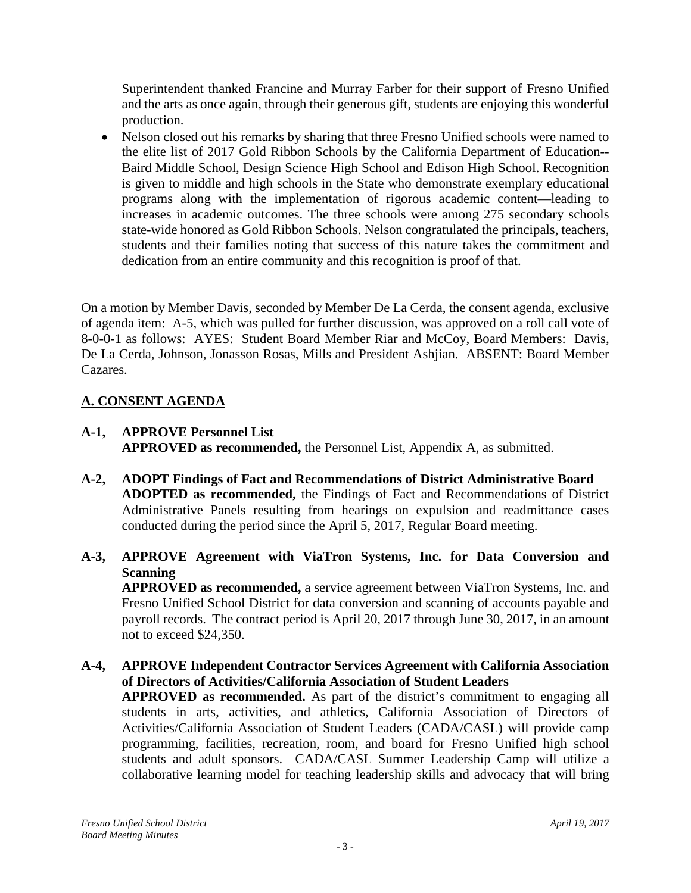Superintendent thanked Francine and Murray Farber for their support of Fresno Unified and the arts as once again, through their generous gift, students are enjoying this wonderful production.

• Nelson closed out his remarks by sharing that three Fresno Unified schools were named to the elite list of 2017 Gold Ribbon Schools by the California Department of Education-- Baird Middle School, Design Science High School and Edison High School. Recognition is given to middle and high schools in the State who demonstrate exemplary educational programs along with the implementation of rigorous academic content—leading to increases in academic outcomes. The three schools were among 275 secondary schools state-wide honored as Gold Ribbon Schools. Nelson congratulated the principals, teachers, students and their families noting that success of this nature takes the commitment and dedication from an entire community and this recognition is proof of that.

On a motion by Member Davis, seconded by Member De La Cerda, the consent agenda, exclusive of agenda item: A-5, which was pulled for further discussion, was approved on a roll call vote of 8-0-0-1 as follows: AYES: Student Board Member Riar and McCoy, Board Members: Davis, De La Cerda, Johnson, Jonasson Rosas, Mills and President Ashjian. ABSENT: Board Member Cazares.

# **A. CONSENT AGENDA**

not to exceed \$24,350.

- **A-1, APPROVE Personnel List APPROVED as recommended,** the Personnel List, Appendix A, as submitted.
- **A-2, ADOPT Findings of Fact and Recommendations of District Administrative Board ADOPTED as recommended,** the Findings of Fact and Recommendations of District Administrative Panels resulting from hearings on expulsion and readmittance cases conducted during the period since the April 5, 2017, Regular Board meeting.
- **A-3, APPROVE Agreement with ViaTron Systems, Inc. for Data Conversion and Scanning APPROVED as recommended,** a service agreement between ViaTron Systems, Inc. and Fresno Unified School District for data conversion and scanning of accounts payable and payroll records. The contract period is April 20, 2017 through June 30, 2017, in an amount
- **A-4, APPROVE Independent Contractor Services Agreement with California Association of Directors of Activities/California Association of Student Leaders APPROVED as recommended.** As part of the district's commitment to engaging all

students in arts, activities, and athletics, California Association of Directors of Activities/California Association of Student Leaders (CADA/CASL) will provide camp programming, facilities, recreation, room, and board for Fresno Unified high school students and adult sponsors. CADA/CASL Summer Leadership Camp will utilize a collaborative learning model for teaching leadership skills and advocacy that will bring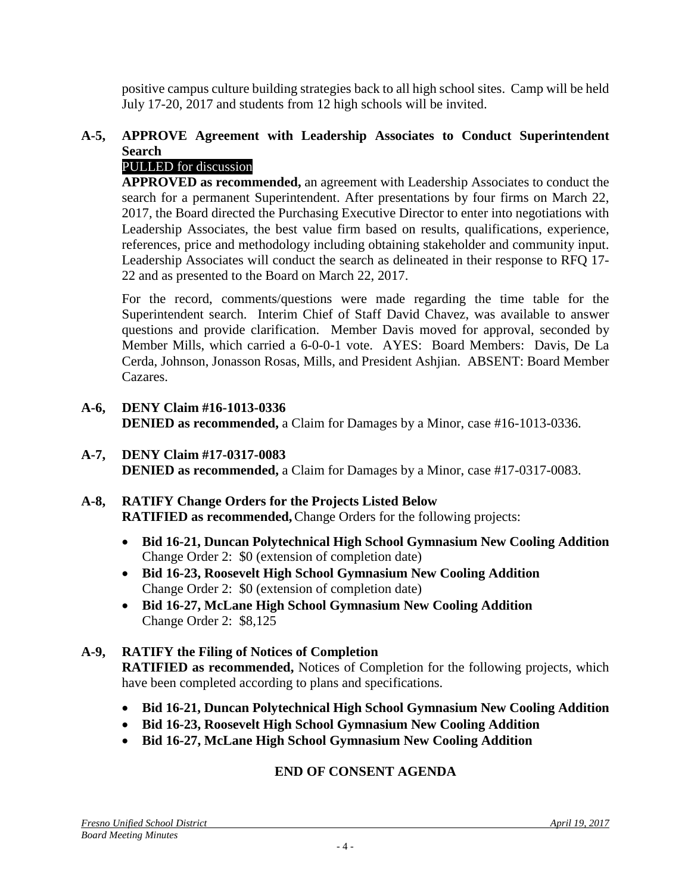positive campus culture building strategies back to all high school sites. Camp will be held July 17-20, 2017 and students from 12 high schools will be invited.

## **A-5, APPROVE Agreement with Leadership Associates to Conduct Superintendent Search**

## PULLED for discussion

**APPROVED as recommended,** an agreement with Leadership Associates to conduct the search for a permanent Superintendent. After presentations by four firms on March 22, 2017, the Board directed the Purchasing Executive Director to enter into negotiations with Leadership Associates, the best value firm based on results, qualifications, experience, references, price and methodology including obtaining stakeholder and community input. Leadership Associates will conduct the search as delineated in their response to RFQ 17- 22 and as presented to the Board on March 22, 2017.

For the record, comments/questions were made regarding the time table for the Superintendent search. Interim Chief of Staff David Chavez, was available to answer questions and provide clarification. Member Davis moved for approval, seconded by Member Mills, which carried a 6-0-0-1 vote. AYES: Board Members: Davis, De La Cerda, Johnson, Jonasson Rosas, Mills, and President Ashjian. ABSENT: Board Member Cazares.

#### **A-6, DENY Claim #16-1013-0336 DENIED as recommended,** a Claim for Damages by a Minor, case #16-1013-0336.

**A-7, DENY Claim #17-0317-0083 DENIED as recommended,** a Claim for Damages by a Minor, case #17-0317-0083.

## **A-8, RATIFY Change Orders for the Projects Listed Below**

**RATIFIED as recommended,**Change Orders for the following projects:

- **Bid 16-21, Duncan Polytechnical High School Gymnasium New Cooling Addition** Change Order 2: \$0 (extension of completion date)
- **Bid 16-23, Roosevelt High School Gymnasium New Cooling Addition** Change Order 2: \$0 (extension of completion date)
- **Bid 16-27, McLane High School Gymnasium New Cooling Addition** Change Order 2: \$8,125

## **A-9, RATIFY the Filing of Notices of Completion**

**RATIFIED as recommended,** Notices of Completion for the following projects, which have been completed according to plans and specifications.

- **Bid 16-21, Duncan Polytechnical High School Gymnasium New Cooling Addition**
- **Bid 16-23, Roosevelt High School Gymnasium New Cooling Addition**
- **Bid 16-27, McLane High School Gymnasium New Cooling Addition**

## **END OF CONSENT AGENDA**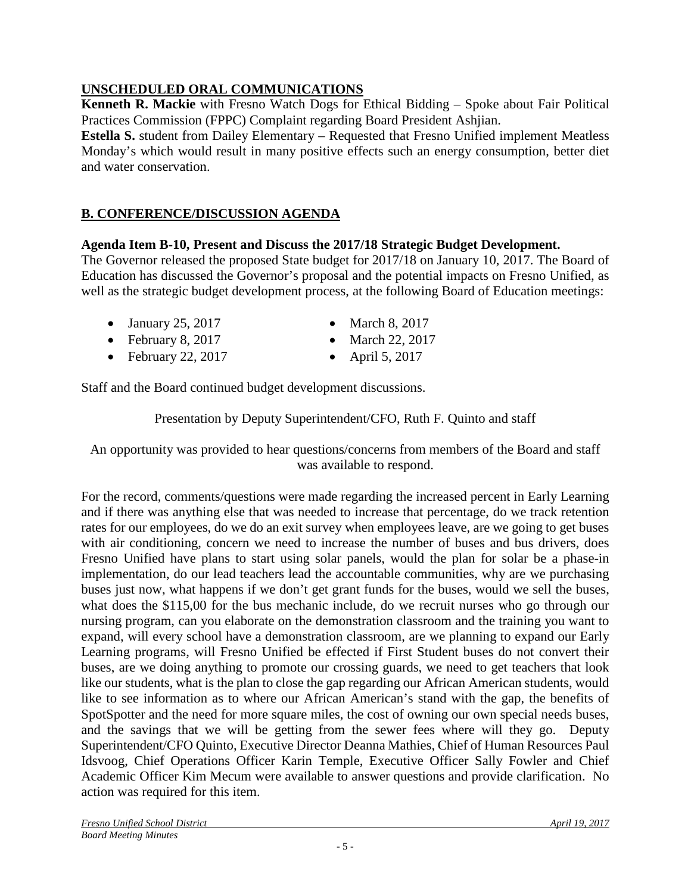# **UNSCHEDULED ORAL COMMUNICATIONS**

**Kenneth R. Mackie** with Fresno Watch Dogs for Ethical Bidding – Spoke about Fair Political Practices Commission (FPPC) Complaint regarding Board President Ashjian.

**Estella S.** student from Dailey Elementary – Requested that Fresno Unified implement Meatless Monday's which would result in many positive effects such an energy consumption, better diet and water conservation.

# **B. CONFERENCE/DISCUSSION AGENDA**

## **Agenda Item B-10, Present and Discuss the 2017/18 Strategic Budget Development.**

The Governor released the proposed State budget for 2017/18 on January 10, 2017. The Board of Education has discussed the Governor's proposal and the potential impacts on Fresno Unified, as well as the strategic budget development process, at the following Board of Education meetings:

- January 25, 2017 March 8, 2017
- February 8, 2017 March 22, 2017
- February 22, 2017 April 5, 2017
- 
- -

Staff and the Board continued budget development discussions.

Presentation by Deputy Superintendent/CFO, Ruth F. Quinto and staff

An opportunity was provided to hear questions/concerns from members of the Board and staff was available to respond.

For the record, comments/questions were made regarding the increased percent in Early Learning and if there was anything else that was needed to increase that percentage, do we track retention rates for our employees, do we do an exit survey when employees leave, are we going to get buses with air conditioning, concern we need to increase the number of buses and bus drivers, does Fresno Unified have plans to start using solar panels, would the plan for solar be a phase-in implementation, do our lead teachers lead the accountable communities, why are we purchasing buses just now, what happens if we don't get grant funds for the buses, would we sell the buses, what does the \$115,00 for the bus mechanic include, do we recruit nurses who go through our nursing program, can you elaborate on the demonstration classroom and the training you want to expand, will every school have a demonstration classroom, are we planning to expand our Early Learning programs, will Fresno Unified be effected if First Student buses do not convert their buses, are we doing anything to promote our crossing guards, we need to get teachers that look like our students, what is the plan to close the gap regarding our African American students, would like to see information as to where our African American's stand with the gap, the benefits of SpotSpotter and the need for more square miles, the cost of owning our own special needs buses, and the savings that we will be getting from the sewer fees where will they go. Deputy Superintendent/CFO Quinto, Executive Director Deanna Mathies, Chief of Human Resources Paul Idsvoog, Chief Operations Officer Karin Temple, Executive Officer Sally Fowler and Chief Academic Officer Kim Mecum were available to answer questions and provide clarification. No action was required for this item.